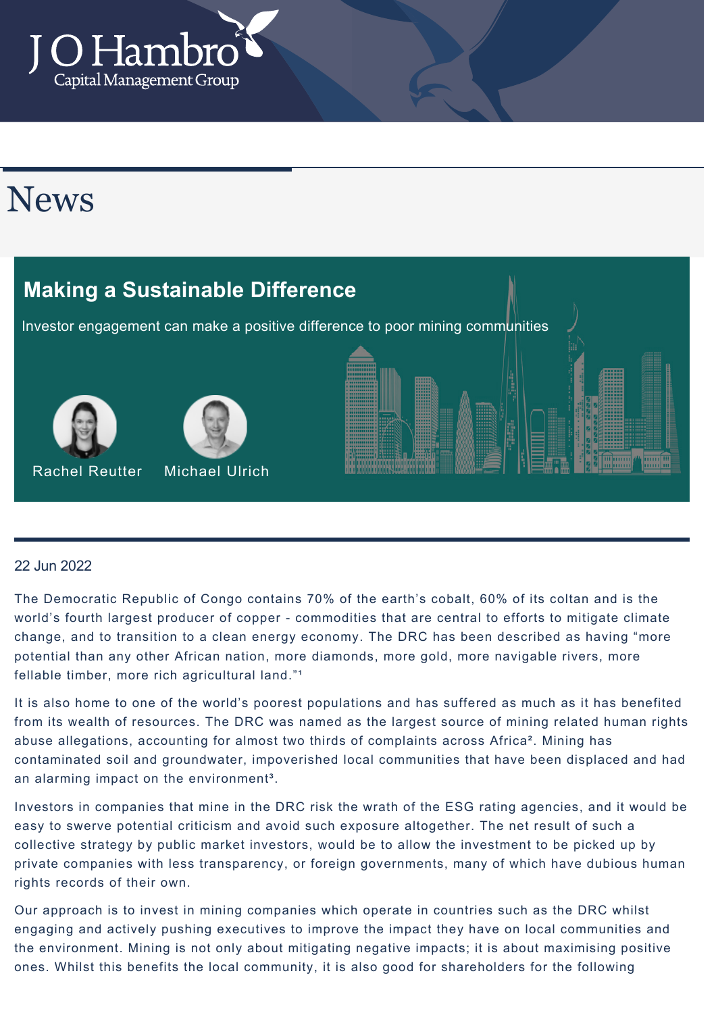

## **News**

# Investor engagement can make a positive difference to poor mining communities **Making a Sustainable Difference** Rachel Reutter Michael Ulrich

#### 22 Jun 2022

The Democratic Republic of Congo contains 70% of the earth's cobalt, 60% of its coltan and is the world's fourth largest producer of copper - commodities that are central to efforts to mitigate climate change, and to transition to a clean energy economy. The DRC has been described as having "more potential than any other African nation, more diamonds, more gold, more navigable rivers, more fellable timber, more rich agricultural land."<sup>1</sup>

It is also home to one of the world's poorest populations and has suffered as much as it has benefited from its wealth of resources. The DRC was named as the largest source of mining related human rights abuse allegations, accounting for almost two thirds of complaints across Africa<sup>2</sup>. Mining has contaminated soil and groundwater, impoverished local communities that have been displaced and had an alarming impact on the environment<sup>3</sup>.

Investors in companies that mine in the DRC risk the wrath of the ESG rating agencies, and it would be easy to swerve potential criticism and avoid such exposure altogether. The net result of such a collective strategy by public market investors, would be to allow the investment to be picked up by private companies with less transparency, or foreign governments, many of which have dubious human rights records of their own.

Our approach is to invest in mining companies which operate in countries such as the DRC whilst engaging and actively pushing executives to improve the impact they have on local communities and the environment. Mining is not only about mitigating negative impacts; it is about maximising positive ones. Whilst this benefits the local community, it is also good for shareholders for the following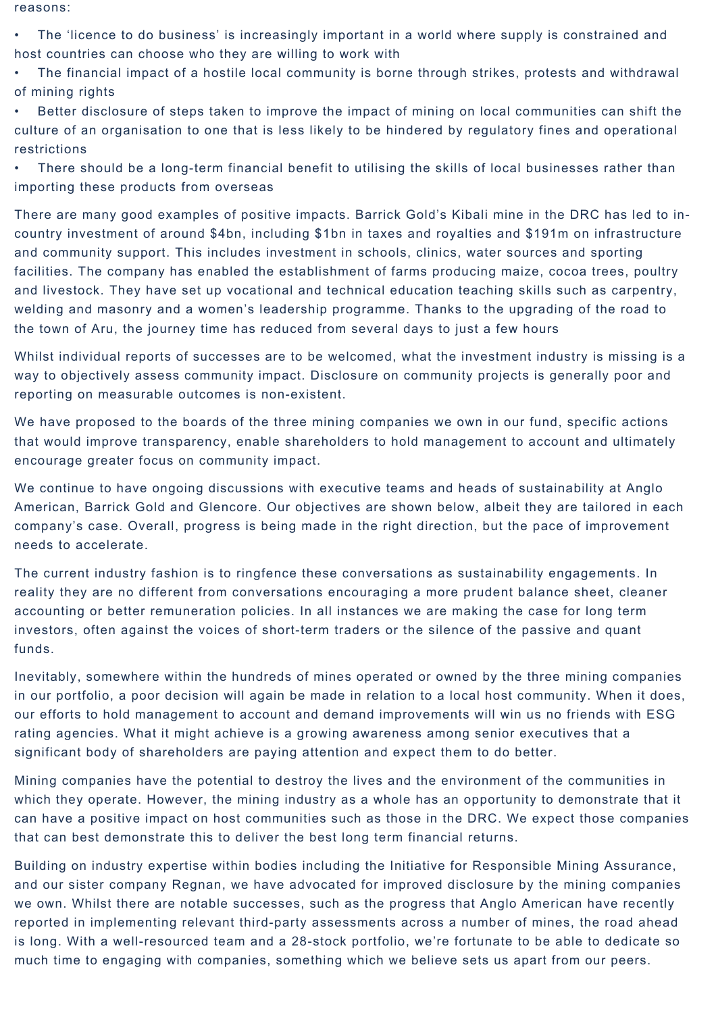reasons:

• The 'licence to do business' is increasingly important in a world where supply is constrained and host countries can choose who they are willing to work with

• The financial impact of a hostile local community is borne through strikes, protests and withdrawal of mining rights

• Better disclosure of steps taken to improve the impact of mining on local communities can shift the culture of an organisation to one that is less likely to be hindered by regulatory fines and operational restrictions

• There should be a long-term financial benefit to utilising the skills of local businesses rather than importing these products from overseas

There are many good examples of positive impacts. Barrick Gold's Kibali mine in the DRC has led to incountry investment of around \$4bn, including \$1bn in taxes and royalties and \$191m on infrastructure and community support. This includes investment in schools, clinics, water sources and sporting facilities. The company has enabled the establishment of farms producing maize, cocoa trees, poultry and livestock. They have set up vocational and technical education teaching skills such as carpentry, welding and masonry and a women's leadership programme. Thanks to the upgrading of the road to the town of Aru, the journey time has reduced from several days to just a few hours

Whilst individual reports of successes are to be welcomed, what the investment industry is missing is a way to objectively assess community impact. Disclosure on community projects is generally poor and reporting on measurable outcomes is non-existent.

We have proposed to the boards of the three mining companies we own in our fund, specific actions that would improve transparency, enable shareholders to hold management to account and ultimately encourage greater focus on community impact.

We continue to have ongoing discussions with executive teams and heads of sustainability at Anglo American, Barrick Gold and Glencore. Our objectives are shown below, albeit they are tailored in each company's case. Overall, progress is being made in the right direction, but the pace of improvement needs to accelerate.

The current industry fashion is to ringfence these conversations as sustainability engagements. In reality they are no different from conversations encouraging a more prudent balance sheet, cleaner accounting or better remuneration policies. In all instances we are making the case for long term investors, often against the voices of short-term traders or the silence of the passive and quant funds.

Inevitably, somewhere within the hundreds of mines operated or owned by the three mining companies in our portfolio, a poor decision will again be made in relation to a local host community. When it does, our efforts to hold management to account and demand improvements will win us no friends with ESG rating agencies. What it might achieve is a growing awareness among senior executives that a significant body of shareholders are paying attention and expect them to do better.

Mining companies have the potential to destroy the lives and the environment of the communities in which they operate. However, the mining industry as a whole has an opportunity to demonstrate that it can have a positive impact on host communities such as those in the DRC. We expect those companies that can best demonstrate this to deliver the best long term financial returns.

Building on industry expertise within bodies including the Initiative for Responsible Mining Assurance, and our sister company Regnan, we have advocated for improved disclosure by the mining companies we own. Whilst there are notable successes, such as the progress that Anglo American have recently reported in implementing relevant third-party assessments across a number of mines, the road ahead is long. With a well-resourced team and a 28-stock portfolio, we're fortunate to be able to dedicate so much time to engaging with companies, something which we believe sets us apart from our peers.